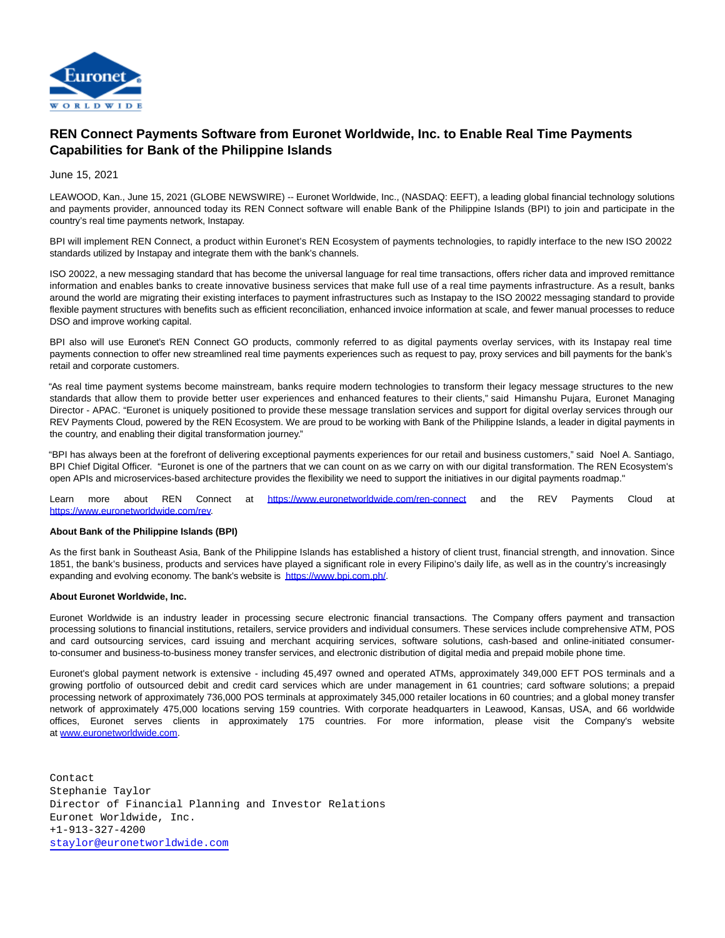

## **REN Connect Payments Software from Euronet Worldwide, Inc. to Enable Real Time Payments Capabilities for Bank of the Philippine Islands**

June 15, 2021

LEAWOOD, Kan., June 15, 2021 (GLOBE NEWSWIRE) -- Euronet Worldwide, Inc., (NASDAQ: EEFT), a leading global financial technology solutions and payments provider, announced today its REN Connect software will enable Bank of the Philippine Islands (BPI) to join and participate in the country's real time payments network, Instapay.

BPI will implement REN Connect, a product within Euronet's REN Ecosystem of payments technologies, to rapidly interface to the new ISO 20022 standards utilized by Instapay and integrate them with the bank's channels.

ISO 20022, a new messaging standard that has become the universal language for real time transactions, offers richer data and improved remittance information and enables banks to create innovative business services that make full use of a real time payments infrastructure. As a result, banks around the world are migrating their existing interfaces to payment infrastructures such as Instapay to the ISO 20022 messaging standard to provide flexible payment structures with benefits such as efficient reconciliation, enhanced invoice information at scale, and fewer manual processes to reduce DSO and improve working capital.

BPI also will use Euronet's REN Connect GO products, commonly referred to as digital payments overlay services, with its Instapay real time payments connection to offer new streamlined real time payments experiences such as request to pay, proxy services and bill payments for the bank's retail and corporate customers.

"As real time payment systems become mainstream, banks require modern technologies to transform their legacy message structures to the new standards that allow them to provide better user experiences and enhanced features to their clients," said Himanshu Pujara, Euronet Managing Director - APAC. "Euronet is uniquely positioned to provide these message translation services and support for digital overlay services through our REV Payments Cloud, powered by the REN Ecosystem. We are proud to be working with Bank of the Philippine Islands, a leader in digital payments in the country, and enabling their digital transformation journey."

"BPI has always been at the forefront of delivering exceptional payments experiences for our retail and business customers," said Noel A. Santiago, BPI Chief Digital Officer. "Euronet is one of the partners that we can count on as we carry on with our digital transformation. The REN Ecosystem's open APIs and microservices-based architecture provides the flexibility we need to support the initiatives in our digital payments roadmap."

Learn more about REN Connect at [https://www.euronetworldwide.com/ren-connect](https://www.globenewswire.com/Tracker?data=KDJkdqf7XWVnEH1rYAOWpBkkxDxyFhxhbCxXxeh96l9cQTS6kXYSKoo_2Y7z0Er1zefN1lZpLqkUlouyBO7lMpGKQR_loPusbvwpYcLBPU9SmOOp4jKngU_gRTv61oPIebH3QyJh2fF2Hx0tklhX9g==) and the REV Payments Cloud at [https://www.euronetworldwide.com/rev.](https://www.globenewswire.com/Tracker?data=KDJkdqf7XWVnEH1rYAOWpBkkxDxyFhxhbCxXxeh96l_1GtL6VN_jSFXHjRxew0mAu0Nd82zL0SjZ7RGg87Jh9zbczBSltlypD2M2Q2TajuX3p-tEw6wwNStJzBvMIxIe)

## **About Bank of the Philippine Islands (BPI)**

As the first bank in Southeast Asia, Bank of the Philippine Islands has established a history of client trust, financial strength, and innovation. Since 1851, the bank's business, products and services have played a significant role in every Filipino's daily life, as well as in the country's increasingly expanding and evolving economy. The bank's website is [https://www.bpi.com.ph/.](https://www.bpi.com.ph/)

## **About Euronet Worldwide, Inc.**

Euronet Worldwide is an industry leader in processing secure electronic financial transactions. The Company offers payment and transaction processing solutions to financial institutions, retailers, service providers and individual consumers. These services include comprehensive ATM, POS and card outsourcing services, card issuing and merchant acquiring services, software solutions, cash-based and online-initiated consumerto-consumer and business-to-business money transfer services, and electronic distribution of digital media and prepaid mobile phone time.

Euronet's global payment network is extensive - including 45,497 owned and operated ATMs, approximately 349,000 EFT POS terminals and a growing portfolio of outsourced debit and credit card services which are under management in 61 countries; card software solutions; a prepaid processing network of approximately 736,000 POS terminals at approximately 345,000 retailer locations in 60 countries; and a global money transfer network of approximately 475,000 locations serving 159 countries. With corporate headquarters in Leawood, Kansas, USA, and 66 worldwide offices, Euronet serves clients in approximately 175 countries. For more information, please visit the Company's website at [www.euronetworldwide.com.](https://www.globenewswire.com/Tracker?data=k-jHwri79nZqqR3hqWu-sq_XnJZVcWblbX0pEs722krBAfxs2Djo4llgF3L28-IMpfncQWGp5k2f839w8glLNOfROdQcmol5ZpxyP9xxeMQ=) 

Contact Stephanie Taylor Director of Financial Planning and Investor Relations Euronet Worldwide, Inc. +1-913-327-4200 [staylor@euronetworldwide.com](mailto:staylor@euronetworldwide.com)